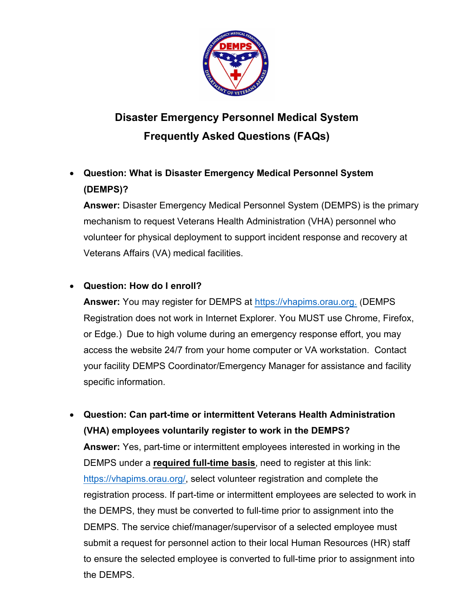

# Disaster Emergency Personnel Medical System Frequently Asked Questions (FAQs)

# Question: What is Disaster Emergency Medical Personnel System (DEMPS)?

Answer: Disaster Emergency Medical Personnel System (DEMPS) is the primary mechanism to request Veterans Health Administration (VHA) personnel who volunteer for physical deployment to support incident response and recovery at Veterans Affairs (VA) medical facilities.

#### Question: How do I enroll?

Answer: You may register for DEMPS at https://vhapims.orau.org. (DEMPS Registration does not work in Internet Explorer. You MUST use Chrome, Firefox, or Edge.) Due to high volume during an emergency response effort, you may access the website 24/7 from your home computer or VA workstation. Contact your facility DEMPS Coordinator/Emergency Manager for assistance and facility specific information.

 Question: Can part-time or intermittent Veterans Health Administration (VHA) employees voluntarily register to work in the DEMPS? Answer: Yes, part-time or intermittent employees interested in working in the DEMPS under a required full-time basis, need to register at this link: https://vhapims.orau.org/, select volunteer registration and complete the registration process. If part-time or intermittent employees are selected to work in the DEMPS, they must be converted to full-time prior to assignment into the DEMPS. The service chief/manager/supervisor of a selected employee must submit a request for personnel action to their local Human Resources (HR) staff to ensure the selected employee is converted to full-time prior to assignment into the DEMPS.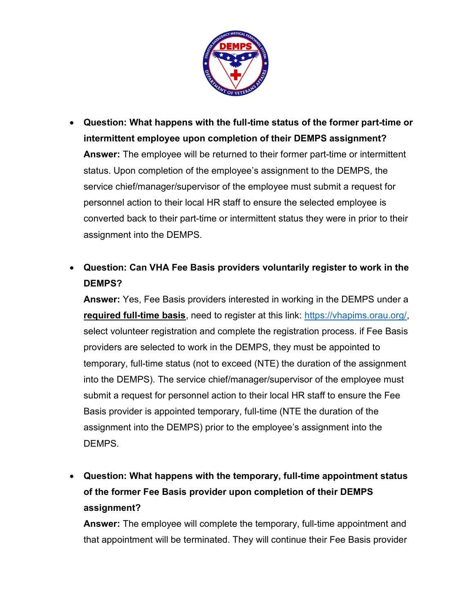

- Question: What happens with the full-time status of the former part-time or intermittent employee upon completion of their DEMPS assignment? Answer: The employee will be returned to their former part-time or intermittent status. Upon completion of the employee's assignment to the DEMPS, the service chief/manager/supervisor of the employee must submit a request for personnel action to their local HR staff to ensure the selected employee is converted back to their part-time or intermittent status they were in prior to their assignment into the DEMPS.
- Question: Can VHA Fee Basis providers voluntarily register to work in the DEMPS?

Answer: Yes, Fee Basis providers interested in working in the DEMPS under a required full-time basis, need to register at this link: https://vhapims.orau.org/, select volunteer registration and complete the registration process. if Fee Basis providers are selected to work in the DEMPS, they must be appointed to temporary, full-time status (not to exceed (NTE) the duration of the assignment into the DEMPS). The service chief/manager/supervisor of the employee must submit a request for personnel action to their local HR staff to ensure the Fee Basis provider is appointed temporary, full-time (NTE the duration of the assignment into the DEMPS) prior to the employee's assignment into the DEMPS.

 Question: What happens with the temporary, full-time appointment status of the former Fee Basis provider upon completion of their DEMPS assignment?

Answer: The employee will complete the temporary, full-time appointment and that appointment will be terminated. They will continue their Fee Basis provider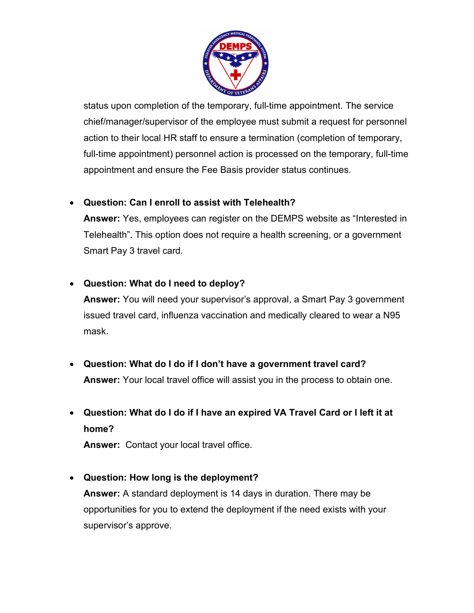

status upon completion of the temporary, full-time appointment. The service chief/manager/supervisor of the employee must submit a request for personnel action to their local HR staff to ensure a termination (completion of temporary, full-time appointment) personnel action is processed on the temporary, full-time appointment and ensure the Fee Basis provider status continues.

#### Question: Can I enroll to assist with Telehealth?

Answer: Yes, employees can register on the DEMPS website as "Interested in Telehealth". This option does not require a health screening, or a government Smart Pay 3 travel card.

### Question: What do I need to deploy?

Answer: You will need your supervisor's approval, a Smart Pay 3 government issued travel card, influenza vaccination and medically cleared to wear a N95 mask.

- Question: What do I do if I don't have a government travel card? Answer: Your local travel office will assist you in the process to obtain one.
- Question: What do I do if I have an expired VA Travel Card or I left it at home?

Answer: Contact your local travel office.

# Question: How long is the deployment?

Answer: A standard deployment is 14 days in duration. There may be opportunities for you to extend the deployment if the need exists with your supervisor's approve.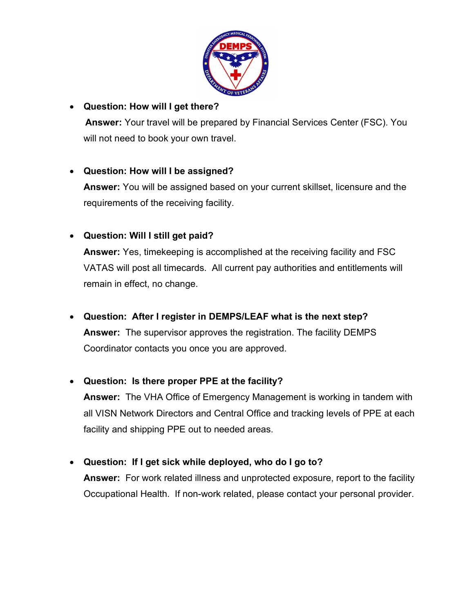

### Question: How will I get there?

Answer: Your travel will be prepared by Financial Services Center (FSC). You will not need to book your own travel.

### Question: How will I be assigned?

Answer: You will be assigned based on your current skillset, licensure and the requirements of the receiving facility.

# Question: Will I still get paid?

Answer: Yes, timekeeping is accomplished at the receiving facility and FSC VATAS will post all timecards. All current pay authorities and entitlements will remain in effect, no change.

Question: After I register in DEMPS/LEAF what is the next step?

Answer: The supervisor approves the registration. The facility DEMPS Coordinator contacts you once you are approved.

#### Question: Is there proper PPE at the facility?

Answer: The VHA Office of Emergency Management is working in tandem with all VISN Network Directors and Central Office and tracking levels of PPE at each facility and shipping PPE out to needed areas.

Question: If I get sick while deployed, who do I go to?

Answer: For work related illness and unprotected exposure, report to the facility Occupational Health. If non-work related, please contact your personal provider.